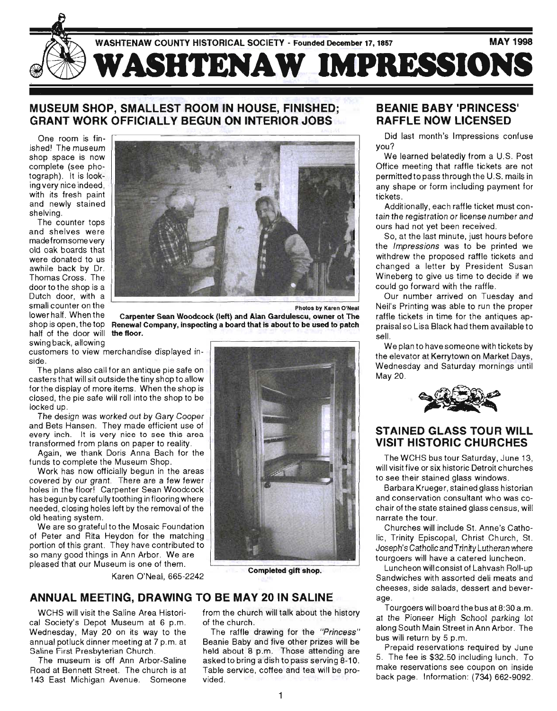

# MUSEUM SHOP, SMALLEST ROOM IN HOUSE, FINISHED; GRANT WORK OFFICIALLY BEGUN ON INTERIOR JOBS

One room is finished! The museum shop space is now complete (see photograph). It is looking very nice indeed, with its fresh paint and newly stained shelving.

The counter tops and shelves were made from some very old oak boards that were donated to us awhile back by Dr. Thomas Cross. The door to the shop is a Dutch door, with a small counter on the lower half. When the hop to open, the top **frottenul** of swing back, allowing



Photos by Karen O'Neal

 $\mathcal{S}_{\mathcal{S}}$  is open, the top is opened a company, inspecting a board that is about to be used to patch. Carpenter Sean Woodcock (left) and Alan Gardulescu, owner ot The

customers to view merchandise displayed inside.

The plans also call for an antique pie safe on casters that will sit outside the tiny shop to allow for the display of more items. When the shop is closed, the pie safe will roll into the shop to be locked up.

The design was worked out by Gary Cooper and Bets Hansen. They made efficient use of every inch. It is very nice to see this area transformed from plans on paper to reality .

Again, we thank Doris Anna Bach for the funds to complete the Museum Shop.

Work has now officially begun in the areas covered by our grant. There are a few fewer holes in the floor! Carpenter Sean Woodcock has begun by carefully toothing in flooring where needed, closing holes left by the removal of the old heating system.

We are so grateful to the Mosaic Foundation of Peter and Rita Heydon for the matching portion of this grant. They have contributed to so many good things in Ann Arbor. We are pleased that our Museum is one of them.

Example on or when...<br>Karen O'Neal, 665-2242



### ANNUAL MEETING, DRAWING TO BE MAY 20 IN SALINE

WCHS will visit the Saline Area Historical Society's Depot Museum at 6 p.m. Wednesday, May 20 on its way to the annual potluck dinner meeting at 7 p.m. at Saline First Presbyterian Church .

The museum is off Ann Arbor-Saline Road at Bennett Street. The church is at 143 East Michigan Avenue. Someone from the church will talk about the history of the church.

The raffle drawing for the "Princess" Beanie Baby and five other prizes will be held about 8 p.m. Those attending are asked to bring a dish to pass serving 8-10 . Table service, coffee and tea will be provided.

### BEANIE BABY 'PRINCESS' RAFFLE NOW LICENSED

Did last month's Impressions confuse you?

We learned belatedly from a U.S. Post Office meeting that raffle tickets are not permitted topass through the U.S. mails in any shape or form including payment for tickets .

Additionally, each raffle ticket must contain the registration or license number and ours had not yet been received.

So, at the last minute, just hours before the Impressions was to be printed we withdrew the proposed raffle tickets and changed a letter by President Susan Wineberg to give us time to decide if we could go forward with the raffle.

Our number arrived on Tuesday and Neil's Printing was able to run the proper raffle tickets in time for the antiques appraisal so Lisa Black had them available to sell.

We plan to have someone with tickets by the elevator at Kerry town on Market Days, Wednesday and Saturday mornings until May 20. have someone with tickets by<br>at Kerrytown on Market Days,<br>and Saturday mornings until



### STAINED GLASS TOUR WILL VISIT HISTORIC CHURCHES

The WCHS bus tour Saturday, June 13, will visit five or six historic Detroit churches to see their stained glass windows .

Barbara Krueger, stained glass historian and conservation consultant who was cochair of the state stained glass census, will narrate the tour.

Churches will include St. Anne's Catholic, Trinity Episcopal, Christ Church, St. Joseph's Catholic and Trinity Lutheran where tourgoers will have a catered luncheon.

Luncheon will consist of Lahvash Roll-up Sandwiches with assorted deli meats and cheeses, side salads, dessert and beverage.

Tourgoers will board the bus at 8:30 a.m. at the Pioneer High School parking lot along South Main Street in Ann Arbor. The bus will return by 5 p.m.

Prepaid reservations required by June 5. The fee is \$32.50 including lunch. To . make reservations see coupon on inside back page. Information: (734) 662-9092.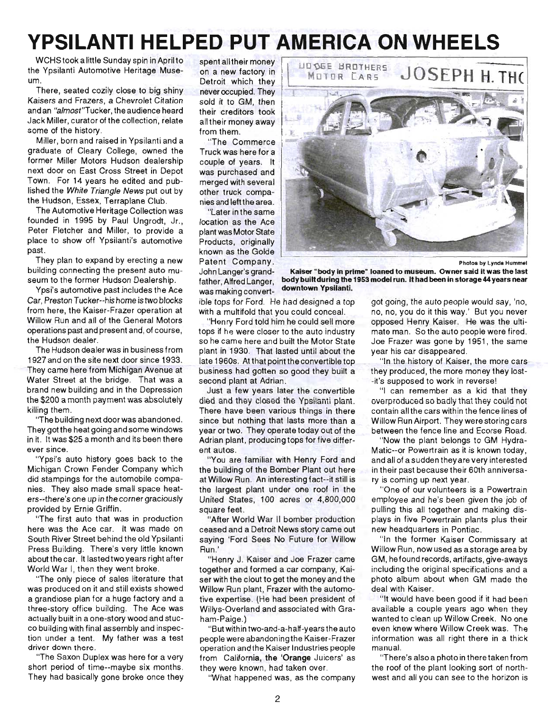# **YPSILANTI HELPED PUT AMERICA ON WHEELS**

WCHS took a little Sunday spin in April to the Ypsilanti Automotive Heritage Museum.

There, seated cozily close to big shiny Kaisers and Frazers, a Chevrolet Citation and an "almost"Tucker, the audience heard Jack Miller, curator of the collection, relate some of the history.

Miller, born and raised in Ypsilanti and a graduate of Cleary College, owned the former Miller Motors Hudson dealership next door on East Cross Street in Depot Town. For 14 years he edited and published the White Triangle News put out by the Hudson, Essex, Terraplane Club.

The Automotive Heritage Collection was founded in 1995 by Paul Ungrodt, Jr., Peter Fletcher and Miller, to provide a place to show off Ypsilanti's automotive past.

They plan to expand by erecting a new building connecting the present auto museum to the former Hudson Dealership.

Ypsi's automotive past includes the Ace Car, Preston Tucker--his home is two blocks from here, the Kaiser-Frazer operation at Willow Run and all of the General Motors operations past and present and, of course, the Hudson dealer.

The Hudson dealer was in business from 1927 and on the site next door since 1933. They came here from Michigan Avenue at Water Street at the bridge. That was a brand new building and in the Depression the \$200 a month payment was absolutely killing them.

''The building next door was abandoned. They got the heat going and some windows in it. It was \$25 a month and its been there ever since.

"Ypsi's auto history goes back to the Michigan Crown Fender Company which did stampings for the automobile companies. They also made small space heaters--there's one up in the corner graciously provided by Ernie Griffin.

"The first auto that was in production here was the Ace car. It was made on South River Street behind the old Ypsilanti Press Building. There's very little known about the car. It lasted two years right after World War I, then they went broke.

"The only piece of sales literature that was produced on it and still exists showed a grandiose plan for a huge factory and a three-story office building. The Ace was actually built in a one-story wood and stucco building with final assembly and inspection under a tent. My father was a test driver down there.

"The Saxon Duplex was here for a very short period of time--maybe six months. They had basically gone broke once they

spent all their money on a new factory in Detroit which they never occupied. They sold it to GM, then their creditors took all their money away from them,

"The Commerce Truck was here for a couple of years. It was purchased and merged with several other truck companies and left the area.

"Later in the same location as the Ace plant was Motor State Products, originally known as the Golde Patent Company. John Langer's grandfather, Alfred Langer, was making convert-



Photos by Lynda Hummel

Kaiser "body in prime" loaned to museum. Owner said it was the last body built during the 1953 model run. It had been in storage 44 years near downtown Ypsilanti.

ible tops for Ford. He had designed a top with a multifold that you could conceal.

"Henry Ford told him he could sell more tops if he were closer to the auto industry so he came here and built the Motor State plant in 1930. That lasted until about the late 1960s. At that point the convertible top business had gotten so good they built a second plant at Adrian.

Just a few years later the convertible died and ihey closed ihe Ypsilanii plant. There have been various things in there since but nothing that lasts more than a year or two. They operate today out of the Adrian plant, producing tops for five different autos.

"You are familiar with Henry Ford and the building of the Bomber Plant out here at Willow Run. An interesting fact--it still is the largest plant under one roof in the United States, 100 acres or 4,800,000 square feet .

"After World War II bomber production ceased and a Detroit News story came out saying 'Ford Sees No Future for Willow Run .'

"Henry J. Kaiser and Joe Frazer came together and formed a car company, Kaiser with the clout to get the money and the Willow Run plant, Frazer with the automotive expertise. (He had been president of Willys-Overland and associated with Graham-Paige.)

"But within two-and-a-half-years the auto people were abandoning the Kaiser-Frazer operation and the Kaiser I ndustries people from California, the 'Orange Juicers' as they were known, had taken over.

"What happened was, as the company

got going, the auto people would say, 'no, no, no, you do it this way.' But you never opposed Henry Kaiser. He was the ultimate man. So the auto people were fired. Joe Frazer was gone by 1951 , the same year his car disappeared.

"In the history of Kaiser, the more cars they produced, the more money they lost- -it's supposed to work in reverse!

"I can remember as a kid that they overproduced so badly that they could not contain all the cars within the fence lines of Willow Run Airport. They were storing cars between the fence line and Ecorse Road.

"Now the plant belongs to GM Hydra-Matic--or Powertrain as it is known today , and all of a sudden they are very interested in their past because their 60th anniversary is coming up next year.

"One of our volunteers is a Powertrain employee and he's been given the job of pulling this all together and making displays in five Powertrain plants plus their new headquarters in Pontiac.

"In the former Kaiser Commissary at Willow Run, now used as a storage area by GM, hefound records , artifacts, give-aways including the original specifications and a photo album about when GM made the deal with Kaiser.

"It would have been good if it had been available a couple years ago when they wanted to clean up Willow Creek. No one even knew where Willow Creek was. The information was all right there in a thick manual.

"There's also a photo in there taken from the roof of the plant looking sort of northwest and all you can see to the horizon is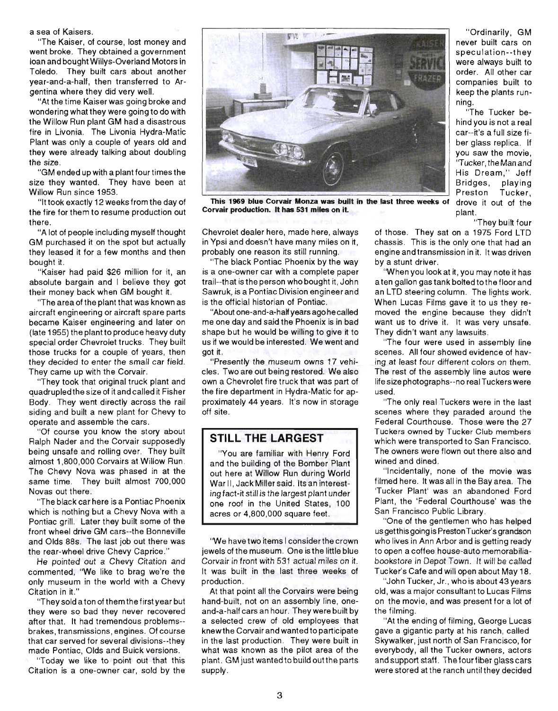a sea of Kaisers .

"The Kaiser, of course, lost money and went broke. They obtained a government loan and bought Willys-Overland Motors in Toledo. They built cars about another year-and-a-half, then transferred to Argentina where they did very well.

"At the time Kaiser was going broke and wondering what they were going to do with the Willow Run plant GM had a disastrous fire in Livonia. The Livonia Hydra-Matic Plant was only a couple of years old and they were already talking about doubling the size.

"GM ended up with a plant four times the size they wanted. They have been at Willow Run since 1953.

"It took exactly 12 weeks from the day of the fire for them to resume production out there.

"A lot of people including myself thought GM purchased it on the spot but actually they leased it for a few months and then bought it.

"Kaiser had paid \$26 million for it, an absolute bargain and I believe they got their money back when GM bought it.

"The area of the plant that was known as aircraft engineering or aircraft spare parts became Kaiser engineering and later on (late 1955) the plant to produce heavy duty special order Chevrolet trucks. They built those trucks for a couple of years, then they decided to enter the small car field. They came up with the Corvair.

"They took that original truck plant and quadrupled the size of it and called it Fisher Body. They went directly across the rail siding and built a new plant for Chevy to operate and assemble the cars .

"Of course you know the story about Ralph Nader and the Corvair supposedly being unsafe and rolling over. They built almost 1,800,000 Corvairs at Willow Run . The Chevy Nova was phased in at the same time. They built almost 700,000 Novas out there.

"The black car here is a Pontiac Phoenix which is nothing but a Chevy Nova with a Pontiac grill. Later they built some of the front wheel drive GM cars--the Bonneville and Olds 88s. The last job out there was the rear-wheel drive Chevy Caprice."

He pointed out a Chevy Citation and commented, "We like to brag we're the only museum in the world with a Chevy Citation in it."

"They sold a ton of them the first year but they were so bad they never recovered after that. It had tremendous problems- brakes, transmissions , engines. Of course that car served for several divisions--they made Pontiac, Olds and Buick versions .

"Today we like to point out that this Citation is a one-owner car, sold by the



This 1969 blue Corvair Monza was built in the last three weeks of drove it out of the Corvair production. It has 531 miles on it. The plant.

Chevrolet dealer here, made here, always in Ypsi and doesn't have many miles on it, probably one reason its still running.

"The black Pontiac Phoenix by the way is a one-owner car with a complete paper trail--that is the person who bought it, John Sawruk, is a Pontiac Division engineer and is the official historian of Pontiac.

"About one-and-a-half years ago he called me one day and said the Phoenix is in bad shape but he would be willing to give it to us if we would be interested. We went and got it .

"Presently the museum owns 17 vehicles. Two are out being restored. We also own a Chevrolet fire truck that was part of the fire department in Hydra-Matic for approximately 44 years. It's now in storage off site.

### **STILL THE LARGEST**

"You are familiar with Henry Ford and the building of the Bomber Plant out here at Willow Run during World War II, JackMilier said. Its an interesting fact-it stil/ is the largest plant under one roof in the United States, 100 acres or 4,800,000 square feet.

'We have two items I consider the crown jewels of the museum. One is the little blue Corvair in front with 531 actual miles on it. It was built in the last three weeks of production .

At that point all the Corvairs were being hand-built, not on an assembly line, oneand-a-half cars an hour. They were built by a selected crew of old employees that knew the Corvair and wanted to participate in the last production. They were built in what was known as the pilot area of the plant. GM just wanted to build out the parts supply.

"Ordinarily, GM never built cars on speculation--they were always built to order. All other car companies built to keep the plants running.

"The Tucker behind you is not a real car--it's a full size fiber glass replica. If you saw the movie, ''Tucker, the Man and His Dream," Jeff Bridges, playing Preston Tucker,

"They built four

of those. They sat on a 1975 Ford LTD chassis. This is the only one that had an engine and transmission in it. It was driven by a stunt driver.

'When you look at it, you may note it has a ten gallon gas tank bolted to the floor and an LTD steering column. The lights work. When Lucas Films gave it to us they removed the engine because they didn't want us to drive it. It was very unsafe. They didn't want any lawsuits.

"The four were used in assembly line scenes. All four showed evidence of having at least four different colors on them. The rest of the assembly line autos were life size photographs--no real Tuckers were used.

"The only real Tuckers were in the last scenes where they paraded around the Federal Courthouse. Those were the 27 Tuckers owned by Tucker Club members which were transported to San Francisco. The owners were flown out there also and wined and dined.

"Incidentally, none of the movie was filmed here. It was all in the Bay area. The 'Tucker Plant' was an abandoned Ford Plant, the 'Federal Courthouse' was the San Francisco Public Library.

"One of the gentlemen who has helped us getthis going is Preston Tucker's grandson who lives in Ann Arbor and is getting ready to open a coffee house-auto memorabiliabookstore in Depot Town. It will be called Tucker's Cafe and will open about May 18.

"John Tucker, Jr., who is about 43 years old, was a major consultant to Lucas Films on the movie, and was present for a lot of the filming.

"At the ending of filming, George Lucas gave a gigantic party at his ranch , called Skywalker, just north of San Francisco, for everybody, all the Tucker owners, actors and support staff. The four fiber glass cars were stored at the ranch until they decided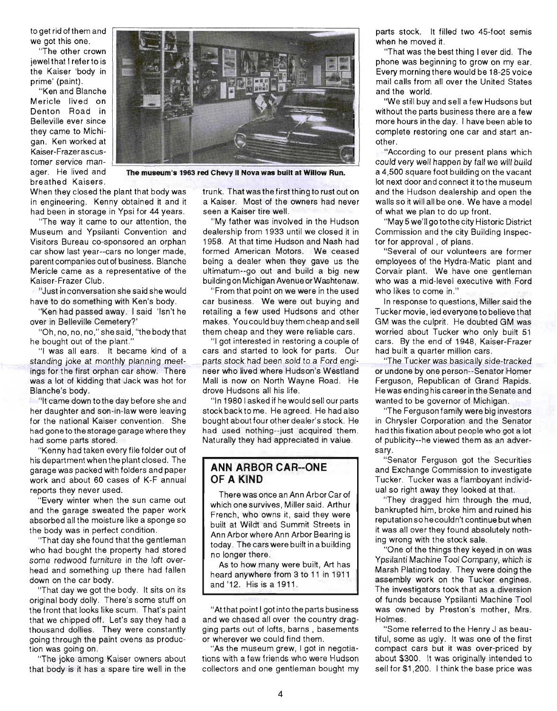to get rid of them and we got this one.

"The other crown jewel that I refer to is the Kaiser 'body in prime' (paint).

"Ken and Blanche Mericle lived on Denton Road in Belleville ever since they came to Michigan. Ken worked at Kaiser-Frazer as customer service manager. He lived and breathed Kaisers .



**The museum's 1963 red Chevy II Nova was built at Willow Run.** 

When they closed the plant that body was in engineering. Kenny obtained it and it had been in storage in Ypsi for 44 years.

"The way it came to our attention, the Museum and Ypsilanti Convention and Visitors Bureau co-sponsored an orphan car show last year--cars no longer made, parent companies out of business. Blanche Mericle came as a representative of the Kaiser-Frazer Club.

"Just in conversation she said she would have to do something with Ken's body.

"Ken had passed away. I said 'Isn't he over in Belleville Cemetery?'

"Oh, no, no, no," she said , "the body that he bought out of the plant."

"I was all ears. It became kind of a standing joke at monthly planning meetings for the first orphan car show. There was a lot of kidding that Jack was hot for Blanche's body.

"It came down to the day before she and her daughter and son -in-law were leaving for the national Kaiser convention. She had gone to the storage garage where they had some parts stored.

"Kenny had taken every file folder out of his department when the plant closed. The garage was packed with folders and paper work and about 60 cases of K-F annual reports they never used.

"Every winter when the sun came out and the garage sweated the paper work absorbed all the moisture like a sponge so the body was in perfect condition .

"That day she found that the gentleman who had bought the property had stored some redwood furniture in the loft overhead and something up there had fallen down on the car body.

"That day we got the body. It sits on its original body dolly. There's some stuff on the front that looks like scum. That's paint that we chipped off. Let's say they had a thousand dollies. They were constantly going through the paint ovens as production was going on .

"The joke among Kaiser owners about that body is it has a spare tire well in the

trunk. That was the first thing to rust out on a Kaiser. Most of the owners had never seen a Kaiser tire well.

"My father was involved in the Hudson dealership from 1933 until we closed it in 1958. At that time Hudson and Nash had formed American Motors. We ceased being a dealer when they gave us the ultimatum--go out and build a big new building on Michigan Avenue or Washtenaw.

"From that point on we were in the used car business. We were out buying and retailing a few used Hudsons and other makes. You could buy them cheap and sell them cheap and they were reliable cars.

"I got interested in restoring a couple of cars and started to look for parts. Our parts stock had been sold to a Ford engineer who lived where Hudson's Westland Mall is now on North Wayne Road. He drove Hudsons all his life.

"In 1980 I asked if he would sell our parts stock backto me. He agreed. He had also bought about four other dealer's stock. He had used nothing--just acquired them. Naturally they had appreciated in value.

#### **ANN ARBOR CAR--ONE OF A KIND**

There was once an Ann Arbor Car of which one survives , Miller said. Arthur French, who owns it, said they were built at Wildt and Summit Streets in Ann Arbor where Ann Arbor Bearing is today . The cars were built in a building no longer there .

As to how many were built, Art has heard anywhere from 3 to 11 in 1911 and '12. His is a 1911 .

"At that point I got into the parts business and we chased all over the country dragging parts out of lofts, barns , basements or wherever we could find them.

"As the museum grew, I got in negotiations with a few friends who were Hudson collectors and one gentleman bought my

parts stock. It filled two 45-foot semis when he moved it.

"That was the best thing I ever did. The phone was beginning to grow on my ear. Every morning there would be 18-25 voice mail calls from all over the United States and the world.

"We still buy and sell a few Hudsons but without the parts business there are a few more hours inthe day. I have been ableto complete restoring one car and start another.

"According to our present plans which could very well happen by tall we will build a 4,500 square foot building on the vacant lot next door and connect it to the museum and the Hudson dealership and open the walls so it will all be one. We have a model of what we plan to do up front.

"May 5 we'll gotothe city Historic District Commission and the city Building Inspector for approval , of plans.

"Several of our volunteers are former employees of the Hydra-Matic plant and Corvair plant. We have one gentleman who was a mid-level executive with Ford who likes to come in ."

In response to questions, Miller said the Tucker movie, led everyone to believe that GM was the culprit. He doubted GM was worried about Tucker who only built 51 cars. By the end of 1948, Kaiser-Frazer had built a quarter million cars .

"The Tucker was basically side-tracked . or undone by one person--Senator Homer Ferguson, Republican of Grand Rapids. He was ending his career in the Senate and wanted to be governor of Michigan.

"The Ferguson family were big investors in Chrysler Corporation and the Senator had this fixation about people who got a lot of publicity--he viewed them as an adversary.

"Senator Ferguson got the Securities and Exchange Commission to investigate Tucker. Tucker was a flamboyant individual so right away they looked at that.

"They dragged him through the mud, bankrupted him, broke him and ruined his reputation so he couldn't continue but when it was all over they found absolutely nothing wrong with the stock sale.

"One of the things they keyed in on was Ypsilanti Machine Tool Company, which is Marsh Plating today. They were doing the assembly work on the Tucker engines. The investigators took that as a diversion of funds because Ypsilanti Machine Tool was owned by Preston's mother, Mrs. Holmes .

"Some referred to the Henry J as beautiful, some as ugly. It was one of the first compact cars but it was over-priced by about \$300. It was originally intended to sell for \$1 ,200. I think the base price was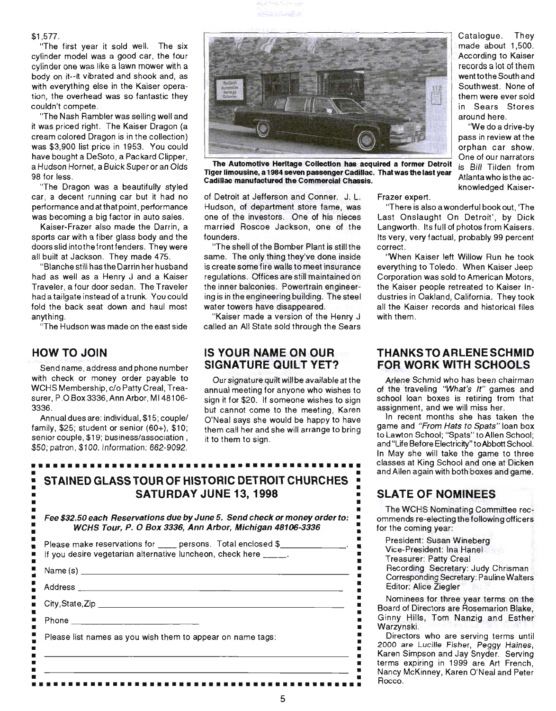

#### \$1 ,577.

"The first year it sold well. The six cylinder model was a good car, the four cylinder one was like a lawn mower with a body on it--it vibrated and shook and, as with everything else in the Kaiser operation, the overhead was so fantastic they COUldn't compete.

it was priced right. The Kaiser Dragon (a cream colored Dragon is in the collection) was \$3,900 list price in 1953. You could have bought a DeSoto, a Packard Clipper, a Hudson Hornet, a Buick Super or an Olds 98 for less.

"The Dragon was a beautifully styled the casilian communication of the community." Knowledged Kaisercar, a decent running car but it had no performance and at that point, performance was becoming a big factor in auto sales.

Kaiser-Frazer also made the Darrin, a sports car with a fiber glass body and the doors slid into the front fenders. They were all built at Jackson. They made 475.

"Blanche still hasthe Darrin her husband had as well as a Henry J and a Kaiser Traveler, a four door sedan. The Traveler had a tailgate instead of a trunk. You could fold the back seat down and haul most anything.

"The Hudson was made on the east side

### **HOW TO JOIN**

Send name, address and phone number with check or money order payable to WCHS Membership, c/o Patty Creal, Treasurer, P.O Box 3336, Ann Arbor, MI 48106-3336.

Annual dues are: individual, \$15; couple/ family,  $$25$ ; student or senior  $(60+)$ ,  $$10$ ; senior couple, \$19; business/association, \$50; patron, \$100. Information: *662-9092.* 



The Automotive Heritage Collection has acquired a former Detroit Tiger limousine, a 1984 seven passenger Cadillac. That was the last year Cadillac manufactured the Commercial Chassis.

of Detroit at Jefferson and Conner. J. L. Hudson, of department store fame, was one of the investors. One of his nieces married Roscoe Jackson, one of the founders.

"The shell of the Bomber Plant is still the same. The only thing they've done inside is create some fire walls to meet insurance regulations . Offices are still maintained on the inner balconies. Powertrain engineering is in the engineering building. The steel water towers have disappeared.

"Kaiser made a version of the Henry J called an All State sold through the Sears

### **IS YOUR NAME ON OUR SIGNATURE QUILT YET?**

Our signature quilt will be available at the annual meeting for anyone who wishes to sign it for \$20. If someone wishes to sign but cannot come to the meeting, Karen O'Neal says she would be happy to have them call her and she will arrange to bring it to them to sign.

# • • **STAINED GLASS TOUR OF HISTORIC DETROIT CHURCHES •**  • **SATURDAY JUNE 13,1998** • • • Fee \$32.50 each Reservations due by June 5. Send check or money order to: •

**•••••••••••••••••••••••••••••••••••••••••••••** 

WCHS Tour, P. 0 Box 3336, Ann Arbor, Michigan 48106-3336 :

| Please list names as you wish them to appear on name tags: |  |
|------------------------------------------------------------|--|

Catalogue. They made about 1,500. According to Kaiser records a lot of them went to the South and Southwest. None of them were ever sold in Sears Stores

"We do a drive-by pass in review at the orphan car show. One of our narrators is Bill Tilden from Atlanta who is the ac-

Frazer expert.

"There is also a wonderful bookout, 'The Last Onslaught On Detroit', by Dick Langworth. Its full of photos from Kaisers. Its very, very factual, probably 99 percent correct.

"When Kaiser left Willow Run he took everything to Toledo. When Kaiser Jeep Corporation was sold to American Motors , the Kaiser people retreated to Kaiser Industries in Oakland, California. They took all the Kaiser records and historical files with them.

### **THANKS TO ARLENE SCHMID FOR WORK WITH SCHOOLS**

Arlene Schmid who has been chairman of the traveling "What's It" games and school loan boxes is retiring from that assignment, and we will miss her.

In recent months she has taken the game and "From Hats to Spats" loan box to Lawton School; "Spats" to Allen School; and "Life Before Electricity" to Abbott School. In May she will take the game to three classes at King School and one at Dicken and Allen again with both boxes and game.

## **SLATE OF NOMINEES**

The WCHS Nominating Committee recommends re-electing the following officers for the coming year:

President: Susan Wineberg

Vice-President: Ina Hanel

Treasurer: Patty Creal

Recording Secretary: Judy Chrisman Corresponding Secretary: Pauline Walters Editor: Alice Ziegler

Nominees for three year terms on the Board of Directors are Rosemarion Blake, Ginny Hills, Tom Nanzig and Esther Warzynski.

Directors who are serving terms until 2000 are Lucille Fisher, Peggy Haines, Karen Simpson and Jay Snyder. Serving terms expiring in 1999 are Art French, Nancy McKinney, Karen O'Neal and Peter Rocco .